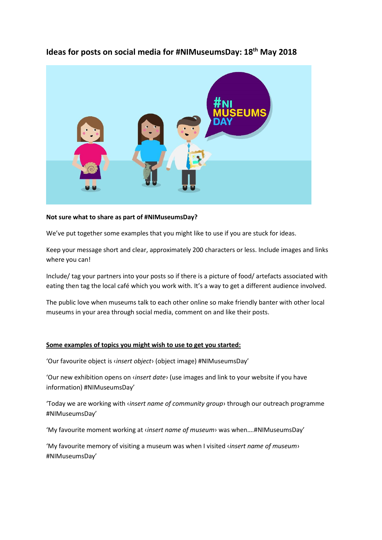

## **Ideas for posts on social media for #NIMuseumsDay: 18th May 2018**

## **Not sure what to share as part of #NIMuseumsDay?**

We've put together some examples that you might like to use if you are stuck for ideas.

Keep your message short and clear, approximately 200 characters or less. Include images and links where you can!

Include/ tag your partners into your posts so if there is a picture of food/ artefacts associated with eating then tag the local café which you work with. It's a way to get a different audience involved.

The public love when museums talk to each other online so make friendly banter with other local museums in your area through social media, comment on and like their posts.

## **Some examples of topics you might wish to use to get you started:**

'Our favourite object is ‹*insert object*› (object image) #NIMuseumsDay'

'Our new exhibition opens on ‹*insert date*› (use images and link to your website if you have information) #NIMuseumsDay'

'Today we are working with ‹*insert name of community group*› through our outreach programme #NIMuseumsDay'

'My favourite moment working at ‹*insert name of museum*› was when….#NIMuseumsDay'

'My favourite memory of visiting a museum was when I visited ‹*insert name of museum*› #NIMuseumsDay'